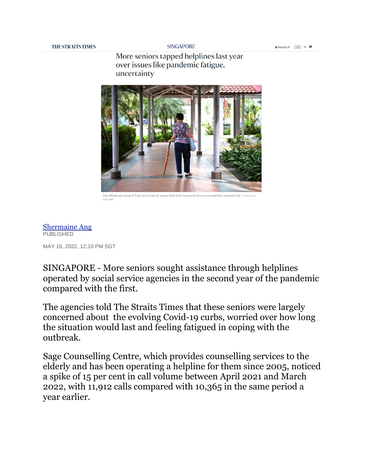**SINGAPORE** 

More seniors tapped helplines last year over issues like pandemic fatigue, uncertainty



.<br>Silver Ribbon saw a jump of 10 per cent in calls by seniors, while Touch Community Services received 9 per cent more calls. ST PHOTO: К

[Shermaine Ang](https://www.straitstimes.com/authors/shermaine-ang) **PUBLISHED** MAY 16, 2022, 12:10 PM SGT

SINGAPORE - More seniors sought assistance through helplines operated by social service agencies in the second year of the pandemic compared with the first.

The agencies told The Straits Times that these seniors were largely concerned about the evolving Covid-19 curbs, worried over how long the situation would last and feeling fatigued in coping with the outbreak.

Sage Counselling Centre, which provides counselling services to the elderly and has been operating a helpline for them since 2005, noticed a spike of 15 per cent in call volume between April 2021 and March 2022, with 11,912 calls compared with 10,365 in the same period a year earlier.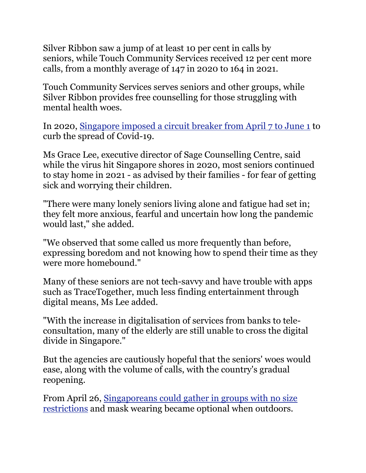Silver Ribbon saw a jump of at least 10 per cent in calls by seniors, while Touch Community Services received 12 per cent more calls, from a monthly average of 147 in 2020 to 164 in 2021.

Touch Community Services serves seniors and other groups, while Silver Ribbon provides free counselling for those struggling with mental health woes.

In 2020, [Singapore imposed a circuit breaker from April 7 to June 1](https://www.straitstimes.com/singapore/coronavirus-empty-trains-and-quiet-streets-as-singapore-enters-day-1-of-circuit-breaker) to curb the spread of Covid-19.

Ms Grace Lee, executive director of Sage Counselling Centre, said while the virus hit Singapore shores in 2020, most seniors continued to stay home in 2021 - as advised by their families - for fear of getting sick and worrying their children.

"There were many lonely seniors living alone and fatigue had set in; they felt more anxious, fearful and uncertain how long the pandemic would last," she added.

"We observed that some called us more frequently than before, expressing boredom and not knowing how to spend their time as they were more homebound."

Many of these seniors are not tech-savvy and have trouble with apps such as TraceTogether, much less finding entertainment through digital means, Ms Lee added.

"With the increase in digitalisation of services from banks to teleconsultation, many of the elderly are still unable to cross the digital divide in Singapore."

But the agencies are cautiously hopeful that the seniors' woes would ease, along with the volume of calls, with the country's gradual reopening.

From April 26, [Singaporeans could gather in groups with no size](https://www.straitstimes.com/singapore/singapore-announces-major-easing-of-covid-19-rules-from-april-26-what-you-need-to-know)  [restrictions](https://www.straitstimes.com/singapore/singapore-announces-major-easing-of-covid-19-rules-from-april-26-what-you-need-to-know) and mask wearing became optional when outdoors.